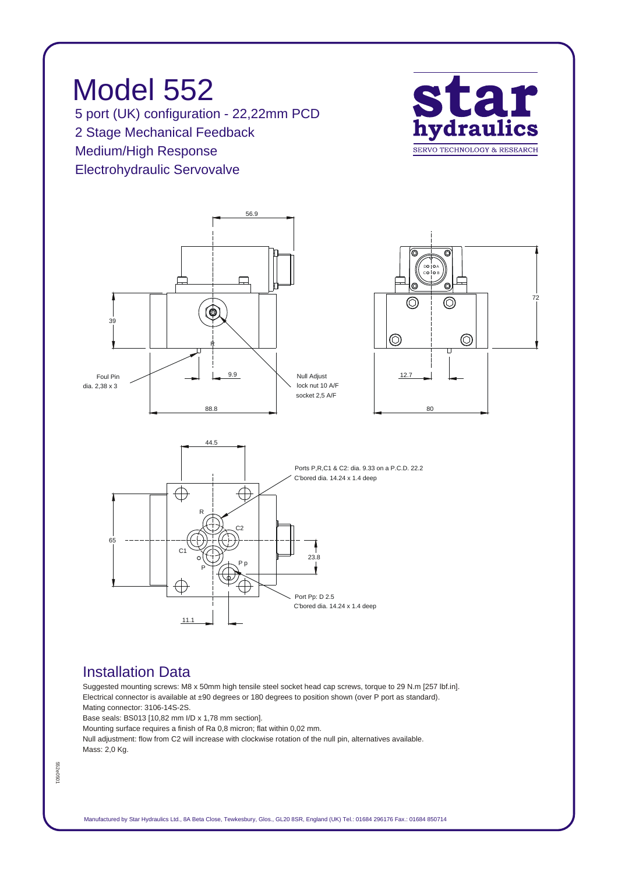*Model 552 5 port (UK) configuration - 22,22mm PCD 2 Stage Mechanical Feedback Medium/High Response Electrohydraulic Servovalve*





## *Installation Data*

*Suggested mounting screws: M8 x 50mm high tensile steel socket head cap screws, torque to 29 N.m [257 lbf.in]. Electrical connector is available at ±90 degrees or 180 degrees to position shown (over P port as standard). Mating connector: 3106-14S-2S.*

*Base seals: BS013 [10,82 mm I/D x 1,78 mm section].*

*Mounting surface requires a finish of Ra 0,8 micron; flat within 0,02 mm.*

*Null adjustment: flow from C2 will increase with clockwise rotation of the null pin, alternatives available. Mass: 2,0 Kg.*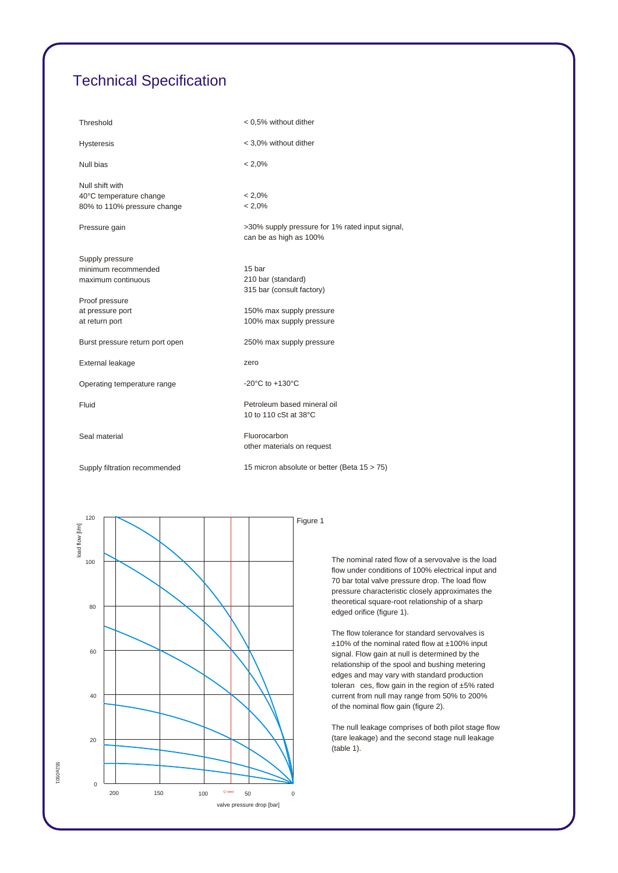## *Technical Specification*

| Threshold                                                                 | < 0.5% without dither                                                     |
|---------------------------------------------------------------------------|---------------------------------------------------------------------------|
| <b>Hysteresis</b>                                                         | < 3,0% without dither                                                     |
| Null bias                                                                 | $< 2.0\%$                                                                 |
| Null shift with<br>40°C temperature change<br>80% to 110% pressure change | $< 2.0\%$<br>$< 2.0\%$                                                    |
|                                                                           |                                                                           |
| Pressure gain                                                             | >30% supply pressure for 1% rated input signal,<br>can be as high as 100% |
| Supply pressure                                                           |                                                                           |
| minimum recommended                                                       | 15 bar                                                                    |
| maximum continuous                                                        | 210 bar (standard)                                                        |
|                                                                           | 315 bar (consult factory)                                                 |
| Proof pressure                                                            |                                                                           |
| at pressure port                                                          | 150% max supply pressure<br>100% max supply pressure                      |
| at return port                                                            |                                                                           |
| Burst pressure return port open                                           | 250% max supply pressure                                                  |
| External leakage                                                          | zero                                                                      |
| Operating temperature range                                               | -20 $^{\circ}$ C to +130 $^{\circ}$ C                                     |
| Fluid                                                                     | Petroleum based mineral oil<br>10 to 110 cSt at 38°C                      |
| Seal material                                                             | Fluorocarbon<br>other materials on request                                |
| Supply filtration recommended                                             | 15 micron absolute or better (Beta 15 > 75)                               |



*The nominal rated flow of a servovalve is the load flow under conditions of 100% electrical input and 70 bar total valve pressure drop. The load flow pressure characteristic closely approximates the theoretical square-root relationship of a sharp edged orifice (figure 1).*

*The flow tolerance for standard servovalves is ±10% of the nominal rated flow at ±100% input signal. Flow gain at null is determined by the relationship of the spool and bushing metering edges and may vary with standard production toleran ces, flow gain in the region of ±5% rated current from null may range from 50% to 200% of the nominal flow gain (figure 2).*

*The null leakage comprises of both pilot stage flow (tare leakage) and the second stage null leakage (table 1).*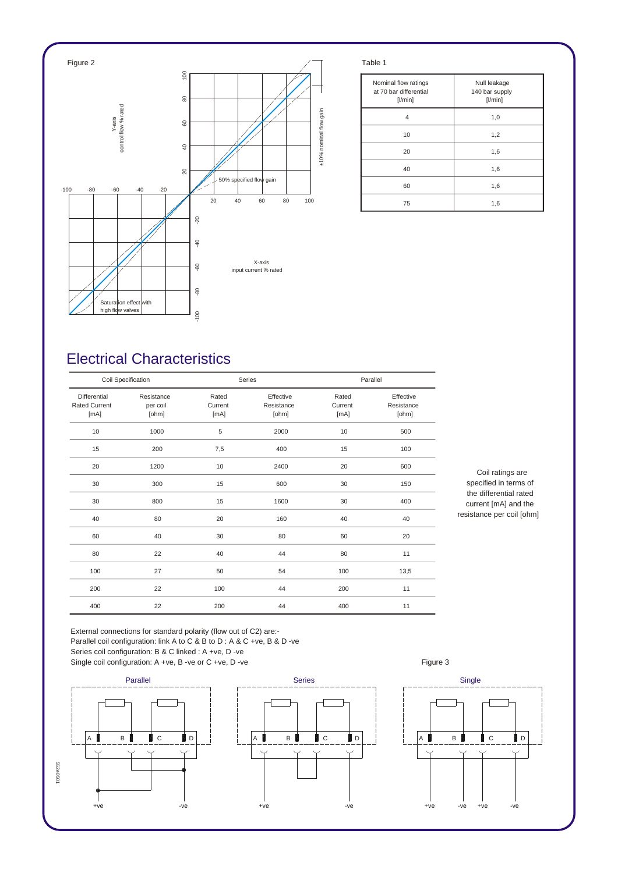

| Nominal flow ratings<br>at 70 bar differential<br>$[$ l/min $]$ | Null leakage<br>140 bar supply<br>[1/min] |
|-----------------------------------------------------------------|-------------------------------------------|
| 4                                                               | 1,0                                       |
| 10                                                              | 1,2                                       |
| 20                                                              | 1,6                                       |
| 40                                                              | 1,6                                       |
| 60                                                              | 1,6                                       |
| 75                                                              | 1,6                                       |

## *Electrical Characteristics*

| Coil Specification                           |                                 |                          | Series                           |                          | Parallel                         |  |
|----------------------------------------------|---------------------------------|--------------------------|----------------------------------|--------------------------|----------------------------------|--|
| Differential<br><b>Rated Current</b><br>[mA] | Resistance<br>per coil<br>[ohm] | Rated<br>Current<br>[mA] | Effective<br>Resistance<br>[ohm] | Rated<br>Current<br>[mA] | Effective<br>Resistance<br>[ohm] |  |
| 10                                           | 1000                            | 5                        | 2000                             | 10                       | 500                              |  |
| 15                                           | 200                             | 7,5                      | 400                              | 15                       | 100                              |  |
| 20                                           | 1200                            | 10                       | 2400                             | 20                       | 600                              |  |
| 30                                           | 300                             | 15                       | 600                              | 30                       | 150                              |  |
| 30                                           | 800                             | 15                       | 1600                             | 30                       | 400                              |  |
| 40                                           | 80                              | 20                       | 160                              | 40                       | 40                               |  |
| 60                                           | 40                              | 30                       | 80                               | 60                       | 20                               |  |
| 80                                           | 22                              | 40                       | 44                               | 80                       | 11                               |  |
| 100                                          | 27                              | 50                       | 54                               | 100                      | 13,5                             |  |
| 200                                          | 22                              | 100                      | 44                               | 200                      | 11                               |  |
| 400                                          | 22                              | 200                      | 44                               | 400                      | 11                               |  |

*Coil ratings are specified in terms of the differential rated current [mA] and the resistance per coil [ohm]*

*External connections for standard polarity (flow out of C2) are:- Parallel coil configuration: link A to C & B to D : A & C +ve, B & D -ve Series coil configuration: B & C linked : A +ve, D -ve*